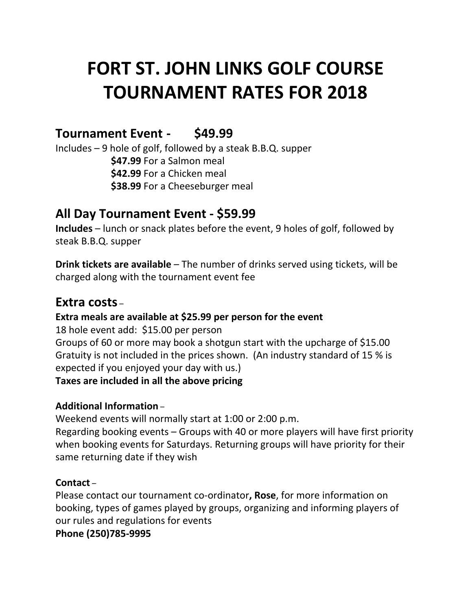# **FORT ST. JOHN LINKS GOLF COURSE TOURNAMENT RATES FOR 2018**

# **Tournament Event - \$49.99**

Includes – 9 hole of golf, followed by a steak B.B.Q. supper **\$47.99** For a Salmon meal **\$42.99** For a Chicken meal **\$38.99** For a Cheeseburger meal

# **All Day Tournament Event - \$59.99**

**Includes** – lunch or snack plates before the event, 9 holes of golf, followed by steak B.B.Q. supper

**Drink tickets are available** – The number of drinks served using tickets, will be charged along with the tournament event fee

# **Extra costs** –

### **Extra meals are available at \$25.99 per person for the event**

18 hole event add: \$15.00 per person Groups of 60 or more may book a shotgun start with the upcharge of \$15.00 Gratuity is not included in the prices shown. (An industry standard of 15 % is expected if you enjoyed your day with us.) **Taxes are included in all the above pricing**

### **Additional Information** –

Weekend events will normally start at 1:00 or 2:00 p.m.

Regarding booking events – Groups with 40 or more players will have first priority when booking events for Saturdays. Returning groups will have priority for their same returning date if they wish

### **Contact** –

Please contact our tournament co-ordinator**, Rose**, for more information on booking, types of games played by groups, organizing and informing players of our rules and regulations for events

**Phone (250)785-9995**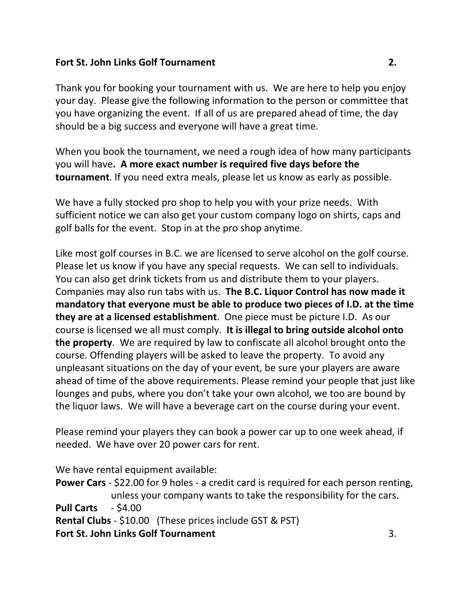#### **Fort St. John Links Golf Tournament 2.**

Thank you for booking your tournament with us. We are here to help you enjoy your day. Please give the following information to the person or committee that you have organizing the event. If all of us are prepared ahead of time, the day should be a big success and everyone will have a great time.

When you book the tournament, we need a rough idea of how many participants you will have**. A more exact number is required five days before the tournament**. If you need extra meals, please let us know as early as possible.

We have a fully stocked pro shop to help you with your prize needs. With sufficient notice we can also get your custom company logo on shirts, caps and golf balls for the event. Stop in at the pro shop anytime.

Like most golf courses in B.C. we are licensed to serve alcohol on the golf course. Please let us know if you have any special requests. We can sell to individuals. You can also get drink tickets from us and distribute them to your players. Companies may also run tabs with us. **The B.C. Liquor Control has now made it mandatory that everyone must be able to produce two pieces of I.D. at the time they are at a licensed establishment**. One piece must be picture I.D. As our course is licensed we all must comply. **It is illegal to bring outside alcohol onto the property**. We are required by law to confiscate all alcohol brought onto the course. Offending players will be asked to leave the property. To avoid any unpleasant situations on the day of your event, be sure your players are aware ahead of time of the above requirements. Please remind your people that just like lounges and pubs, where you don't take your own alcohol, we too are bound by the liquor laws. We will have a beverage cart on the course during your event.

Please remind your players they can book a power car up to one week ahead, if needed. We have over 20 power cars for rent.

We have rental equipment available:

**Power Cars** - \$22.00 for 9 holes - a credit card is required for each person renting, unless your company wants to take the responsibility for the cars. **Pull Carts** - \$4.00 **Rental Clubs** - \$10.00 (These prices include GST & PST) **Fort St. John Links Golf Tournament** 3.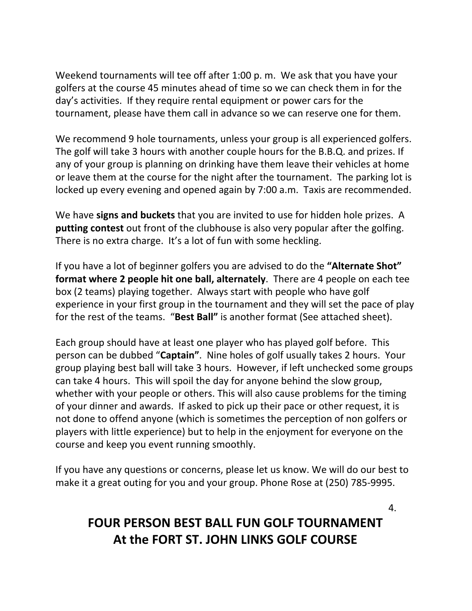Weekend tournaments will tee off after 1:00 p. m. We ask that you have your golfers at the course 45 minutes ahead of time so we can check them in for the day's activities. If they require rental equipment or power cars for the tournament, please have them call in advance so we can reserve one for them.

We recommend 9 hole tournaments, unless your group is all experienced golfers. The golf will take 3 hours with another couple hours for the B.B.Q. and prizes. If any of your group is planning on drinking have them leave their vehicles at home or leave them at the course for the night after the tournament. The parking lot is locked up every evening and opened again by 7:00 a.m. Taxis are recommended.

We have **signs and buckets** that you are invited to use for hidden hole prizes. A **putting contest** out front of the clubhouse is also very popular after the golfing. There is no extra charge. It's a lot of fun with some heckling.

If you have a lot of beginner golfers you are advised to do the **"Alternate Shot" format where 2 people hit one ball, alternately**. There are 4 people on each tee box (2 teams) playing together. Always start with people who have golf experience in your first group in the tournament and they will set the pace of play for the rest of the teams. "**Best Ball"** is another format (See attached sheet).

Each group should have at least one player who has played golf before. This person can be dubbed "**Captain"**. Nine holes of golf usually takes 2 hours. Your group playing best ball will take 3 hours. However, if left unchecked some groups can take 4 hours. This will spoil the day for anyone behind the slow group, whether with your people or others. This will also cause problems for the timing of your dinner and awards. If asked to pick up their pace or other request, it is not done to offend anyone (which is sometimes the perception of non golfers or players with little experience) but to help in the enjoyment for everyone on the course and keep you event running smoothly.

If you have any questions or concerns, please let us know. We will do our best to make it a great outing for you and your group. Phone Rose at (250) 785-9995.

# **FOUR PERSON BEST BALL FUN GOLF TOURNAMENT At the FORT ST. JOHN LINKS GOLF COURSE**

4.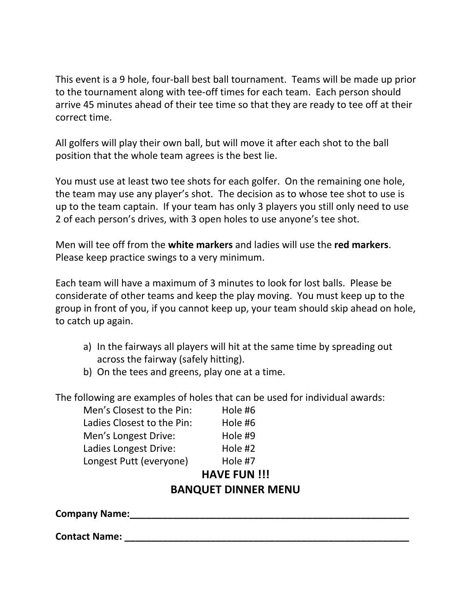This event is a 9 hole, four-ball best ball tournament. Teams will be made up prior to the tournament along with tee-off times for each team. Each person should arrive 45 minutes ahead of their tee time so that they are ready to tee off at their correct time.

All golfers will play their own ball, but will move it after each shot to the ball position that the whole team agrees is the best lie.

You must use at least two tee shots for each golfer. On the remaining one hole, the team may use any player's shot. The decision as to whose tee shot to use is up to the team captain. If your team has only 3 players you still only need to use 2 of each person's drives, with 3 open holes to use anyone's tee shot.

Men will tee off from the **white markers** and ladies will use the **red markers**. Please keep practice swings to a very minimum.

Each team will have a maximum of 3 minutes to look for lost balls. Please be considerate of other teams and keep the play moving. You must keep up to the group in front of you, if you cannot keep up, your team should skip ahead on hole, to catch up again.

- a) In the fairways all players will hit at the same time by spreading out across the fairway (safely hitting).
- b) On the tees and greens, play one at a time.

The following are examples of holes that can be used for individual awards:

| Men's Closest to the Pin:  | Hole #6 |
|----------------------------|---------|
| Ladies Closest to the Pin: | Hole #6 |
| Men's Longest Drive:       | Hole #9 |
| Ladies Longest Drive:      | Hole #2 |
| Longest Putt (everyone)    | Hole #7 |
| <b>HAVE FUN!!!</b>         |         |
| <b>BANQUET DINNER MENU</b> |         |

**Company Name:\_\_\_\_\_\_\_\_\_\_\_\_\_\_\_\_\_\_\_\_\_\_\_\_\_\_\_\_\_\_\_\_\_\_\_\_\_\_\_\_\_\_\_\_\_\_\_\_\_\_\_\_**

**Contact Name: \_\_\_\_\_\_\_\_\_\_\_\_\_\_\_\_\_\_\_\_\_\_\_\_\_\_\_\_\_\_\_\_\_\_\_\_\_\_\_\_\_\_\_\_\_\_\_\_\_\_\_\_\_**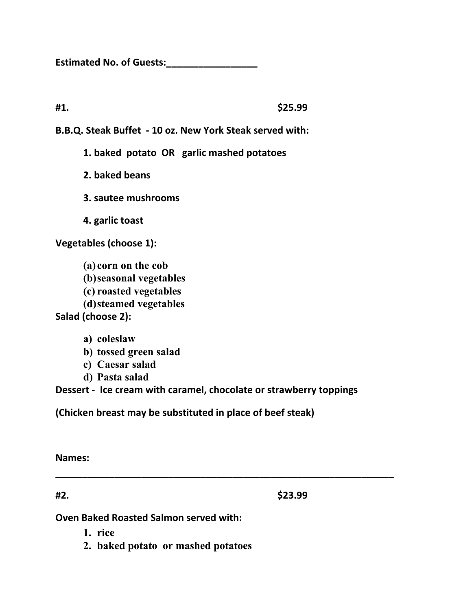**Estimated No. of Guests:\_\_\_\_\_\_\_\_\_\_\_\_\_\_\_\_\_**

**#1. \$25.99**

**B.B.Q. Steak Buffet - 10 oz. New York Steak served with:**

**1. baked potato OR garlic mashed potatoes**

**2. baked beans**

**3. sautee mushrooms**

**4. garlic toast**

**Vegetables (choose 1):**

**(a) corn on the cob (b)seasonal vegetables (c) roasted vegetables (d)steamed vegetables Salad (choose 2):**

- **a) coleslaw**
- **b) tossed green salad**
- **c) Caesar salad**
- **d) Pasta salad**

**Dessert - Ice cream with caramel, chocolate or strawberry toppings**

**\_\_\_\_\_\_\_\_\_\_\_\_\_\_\_\_\_\_\_\_\_\_\_\_\_\_\_\_\_\_\_\_\_\_\_\_\_\_\_\_\_\_\_\_\_\_\_\_\_\_\_\_\_\_\_\_\_\_\_\_\_\_\_**

**(Chicken breast may be substituted in place of beef steak)**

**Names:**

**#2. \$23.99**

**Oven Baked Roasted Salmon served with:**

- **1. rice**
- **2. baked potato or mashed potatoes**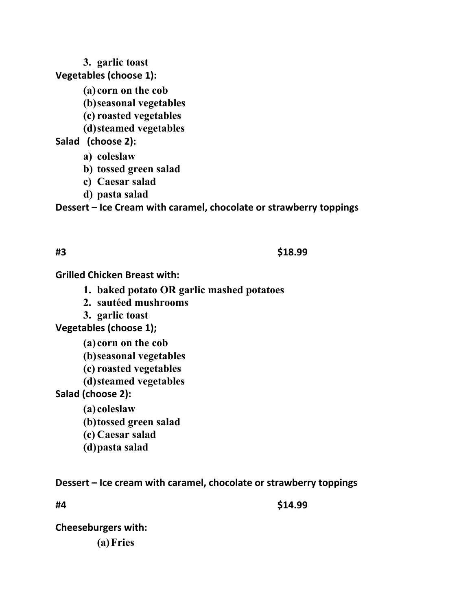**3. garlic toast Vegetables (choose 1):**

**(a) corn on the cob**

- **(b)seasonal vegetables**
- **(c) roasted vegetables**
- **(d)steamed vegetables**

#### **Salad (choose 2):**

- **a) coleslaw**
- **b) tossed green salad**
- **c) Caesar salad**
- **d) pasta salad**

**Dessert – Ice Cream with caramel, chocolate or strawberry toppings**

#### **#3 \$18.99**

**Grilled Chicken Breast with:**

- **1. baked potato OR garlic mashed potatoes**
- **2. sautéed mushrooms**
- **3. garlic toast**

**Vegetables (choose 1);**

- **(a) corn on the cob**
- **(b)seasonal vegetables**
- **(c) roasted vegetables**
- **(d)steamed vegetables**

**Salad (choose 2):**

- **(a) coleslaw**
- **(b)tossed green salad**
- **(c) Caesar salad**
- **(d)pasta salad**

### **Dessert – Ice cream with caramel, chocolate or strawberry toppings**

**#4 \$14.99**

**Cheeseburgers with: (a)Fries**